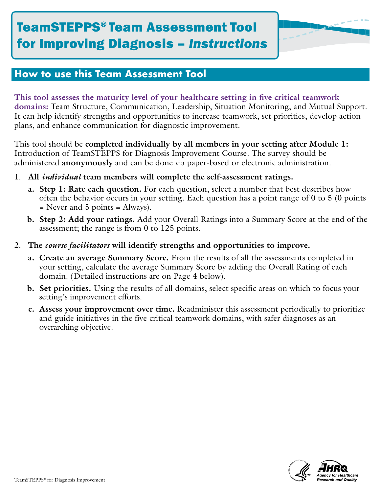

## **How to use this Team Assessment Tool**

**This tool assesses the maturity level of your healthcare setting in five critical teamwork domains:** Team Structure, Communication, Leadership, Situation Monitoring, and Mutual Support. It can help identify strengths and opportunities to increase teamwork, set priorities, develop action plans, and enhance communication for diagnostic improvement.

This tool should be **completed individually by all members in your setting after Module 1:** Introduction of TeamSTEPPS for Diagnosis Improvement Course. The survey should be administered **anonymously** and can be done via paper-based or electronic administration.

- 1. **All** *individual* **team members will complete the self-assessment ratings.**
	- **a. Step 1: Rate each question.** For each question, select a number that best describes how often the behavior occurs in your setting. Each question has a point range of 0 to 5 (0 points  $=$  Never and 5 points  $=$  Always).
	- **b. Step 2: Add your ratings.** Add your Overall Ratings into a Summary Score at the end of the assessment; the range is from 0 to 125 points.
- 2. **The** *course facilitators* **will identify strengths and opportunities to improve.**
	- **a. Create an average Summary Score.** From the results of all the assessments completed in your setting, calculate the average Summary Score by adding the Overall Rating of each domain. (Detailed instructions are on Page 4 below).
	- **b. Set priorities.** Using the results of all domains, select specific areas on which to focus your setting's improvement efforts.
	- **c. Assess your improvement over time.** Readminister this assessment periodically to prioritize and guide initiatives in the five critical teamwork domains, with safer diagnoses as an overarching objective.

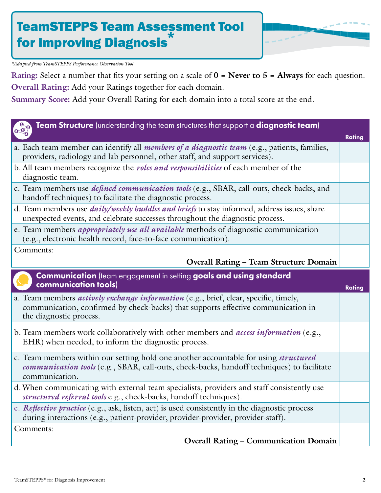## TeamSTEPPS Team Assessment Tool for Improving Diagnosis<sup>®</sup>



*\*Adapted from TeamSTEPPS Performance Observation Tool*

**Rating:** Select a number that fits your setting on a scale of **0 = Never to 5 = Always** for each question. **Overall Rating:** Add your Ratings together for each domain.

**Summary Score:** Add your Overall Rating for each domain into a total score at the end.

| Team Structure (understanding the team structures that support a diagnostic team)                                                                                                                                  |               |
|--------------------------------------------------------------------------------------------------------------------------------------------------------------------------------------------------------------------|---------------|
|                                                                                                                                                                                                                    | <b>Rating</b> |
| a. Each team member can identify all <i>members of a diagnostic team</i> (e.g., patients, families,<br>providers, radiology and lab personnel, other staff, and support services).                                 |               |
| b. All team members recognize the <i>roles and responsibilities</i> of each member of the<br>diagnostic team.                                                                                                      |               |
| c. Team members use <i>defined communication tools</i> (e.g., SBAR, call-outs, check-backs, and<br>handoff techniques) to facilitate the diagnostic process.                                                       |               |
| d. Team members use <i>daily/weekly huddles and briefs</i> to stay informed, address issues, share<br>unexpected events, and celebrate successes throughout the diagnostic process.                                |               |
| e. Team members <i>appropriately use all available</i> methods of diagnostic communication<br>(e.g., electronic health record, face-to-face communication).                                                        |               |
| Comments:                                                                                                                                                                                                          |               |
| <b>Overall Rating - Team Structure Domain</b>                                                                                                                                                                      |               |
| <b>Communication</b> (team engagement in setting goals and using standard<br>communication tools)                                                                                                                  | <b>Rating</b> |
| a. Team members <i>actively exchange information</i> (e.g., brief, clear, specific, timely,<br>communication, confirmed by check-backs) that supports effective communication in<br>the diagnostic process.        |               |
| b. Team members work collaboratively with other members and <i>access information</i> (e.g.,<br>EHR) when needed, to inform the diagnostic process.                                                                |               |
| c. Team members within our setting hold one another accountable for using <i>structured</i><br><i>communication tools</i> (e.g., SBAR, call-outs, check-backs, handoff techniques) to facilitate<br>communication. |               |
| d. When communicating with external team specialists, providers and staff consistently use<br>structured referral tools e.g., check-backs, handoff techniques).                                                    |               |
| e. Reflective practice (e.g., ask, listen, act) is used consistently in the diagnostic process<br>during interactions (e.g., patient-provider, provider-provider, provider-staff).                                 |               |
| Comments:                                                                                                                                                                                                          |               |
| <b>Overall Rating - Communication Domain</b>                                                                                                                                                                       |               |
|                                                                                                                                                                                                                    |               |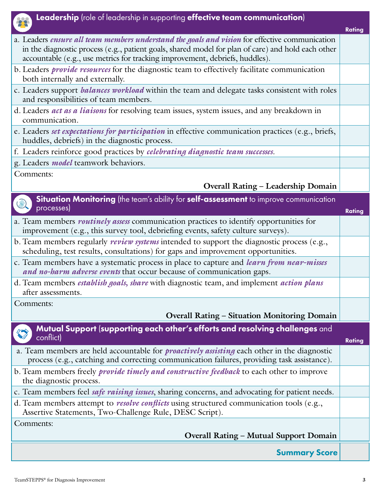| Leadership (role of leadership in supporting effective team communication)                                                                                                                                                                                                           |               |
|--------------------------------------------------------------------------------------------------------------------------------------------------------------------------------------------------------------------------------------------------------------------------------------|---------------|
|                                                                                                                                                                                                                                                                                      | <b>Rating</b> |
| a. Leaders ensure all team members understand the goals and vision for effective communication<br>in the diagnostic process (e.g., patient goals, shared model for plan of care) and hold each other<br>accountable (e.g., use metrics for tracking improvement, debriefs, huddles). |               |
| b. Leaders <i>provide resources</i> for the diagnostic team to effectively facilitate communication<br>both internally and externally.                                                                                                                                               |               |
| c. Leaders support <i>balances workload</i> within the team and delegate tasks consistent with roles<br>and responsibilities of team members.                                                                                                                                        |               |
| d. Leaders <i>act as a liaisons</i> for resolving team issues, system issues, and any breakdown in<br>communication.                                                                                                                                                                 |               |
| e. Leaders set expectations for participation in effective communication practices (e.g., briefs,<br>huddles, debriefs) in the diagnostic process.                                                                                                                                   |               |
| f. Leaders reinforce good practices by celebrating diagnostic team successes.                                                                                                                                                                                                        |               |
| g. Leaders <i>model</i> teamwork behaviors.                                                                                                                                                                                                                                          |               |
| Comments:                                                                                                                                                                                                                                                                            |               |
| <b>Overall Rating - Leadership Domain</b>                                                                                                                                                                                                                                            |               |
| <b>Situation Monitoring</b> (the team's ability for self-assessment to improve communication                                                                                                                                                                                         |               |
| processes)                                                                                                                                                                                                                                                                           | <b>Rating</b> |
| a. Team members <i>routinely assess</i> communication practices to identify opportunities for<br>improvement (e.g., this survey tool, debriefing events, safety culture surveys).                                                                                                    |               |
| b. Team members regularly <i>review systems</i> intended to support the diagnostic process (e.g.,<br>scheduling, test results, consultations) for gaps and improvement opportunities.                                                                                                |               |
| c. Team members have a systematic process in place to capture and learn from near-misses<br>and no-harm adverse events that occur because of communication gaps.                                                                                                                     |               |
| d. Team members establish goals, share with diagnostic team, and implement action plans<br>after assessments.                                                                                                                                                                        |               |
| Comments:                                                                                                                                                                                                                                                                            |               |
| <b>Overall Rating - Situation Monitoring Domain</b>                                                                                                                                                                                                                                  |               |
| Mutual Support (supporting each other's efforts and resolving challenges and                                                                                                                                                                                                         |               |
| conflict)                                                                                                                                                                                                                                                                            | <b>Rating</b> |
| a. Team members are held accountable for <i>proactively assisting</i> each other in the diagnostic<br>process (e.g., catching and correcting communication failures, providing task assistance).                                                                                     |               |
| b. Team members freely <i>provide timely and constructive feedback</i> to each other to improve<br>the diagnostic process.                                                                                                                                                           |               |
| c. Team members feel <i>safe raising issues</i> , sharing concerns, and advocating for patient needs.                                                                                                                                                                                |               |
| d. Team members attempt to <i>resolve conflicts</i> using structured communication tools (e.g.,<br>Assertive Statements, Two-Challenge Rule, DESC Script).                                                                                                                           |               |
| Comments:                                                                                                                                                                                                                                                                            |               |
| <b>Overall Rating - Mutual Support Domain</b>                                                                                                                                                                                                                                        |               |
| <b>Summary Score</b>                                                                                                                                                                                                                                                                 |               |